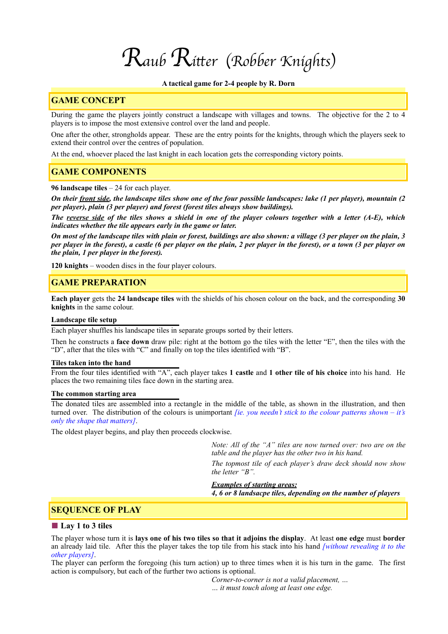# *Raub Ri*t*er* (*Robber Knights*)

#### **A tactical game for 2-4 people by R. Dorn**

## **GAME CONCEPT**

During the game the players jointly construct a landscape with villages and towns. The objective for the 2 to 4 players is to impose the most extensive control over the land and people.

One after the other, strongholds appear. These are the entry points for the knights, through which the players seek to extend their control over the centres of population.

At the end, whoever placed the last knight in each location gets the corresponding victory points.

## **GAME COMPONENTS**

**96 landscape tiles** – 24 for each player.

*On their front side, the landscape tiles show one of the four possible landscapes: lake (1 per player), mountain (2 per player), plain (3 per player) and forest (forest tiles always show buildings).* 

*The reverse side of the tiles shows a shield in one of the player colours together with a letter (A-E), which indicates whether the tile appears early in the game or later.* 

*On most of the landscape tiles with plain or forest, buildings are also shown: a village (3 per player on the plain, 3 per player in the forest), a castle (6 per player on the plain, 2 per player in the forest), or a town (3 per player on the plain, 1 per player in the forest).* 

**120 knights** – wooden discs in the four player colours.

## **GAME PREPARATION**

**Each player** gets the **24 landscape tiles** with the shields of his chosen colour on the back, and the corresponding **30 knights** in the same colour.

#### **Landscape tile setup**

Each player shuffles his landscape tiles in separate groups sorted by their letters.

Then he constructs a **face down** draw pile: right at the bottom go the tiles with the letter "E", then the tiles with the "D", after that the tiles with "C" and finally on top the tiles identified with "B".

#### **Tiles taken into the hand**

From the four tiles identified with "A", each player takes **1 castle** and **1 other tile of his choice** into his hand. He places the two remaining tiles face down in the starting area.

#### **The common starting area**

The donated tiles are assembled into a rectangle in the middle of the table, as shown in the illustration, and then turned over. The distribution of the colours is unimportant *[ie. you needn't stick to the colour patterns shown – it's only the shape that matters]*.

The oldest player begins, and play then proceeds clockwise.

*Note: All of the "A" tiles are now turned over: two are on the table and the player has the other two in his hand.* 

*The topmost tile of each player's draw deck should now show the letter "B".* 

*Examples of starting areas:*

*4, 6 or 8 landsacpe tiles, depending on the number of players* 

## **SEQUENCE OF PLAY**

#### ■ **Lay 1 to 3 tiles**

The player whose turn it is **lays one of his two tiles so that it adjoins the display**. At least **one edge** must **border** an already laid tile. After this the player takes the top tile from his stack into his hand *[without revealing it to the other players]*.

The player can perform the foregoing (his turn action) up to three times when it is his turn in the game. The first action is compulsory, but each of the further two actions is optional.

*Corner-to-corner is not a valid placement, …* 

*… it must touch along at least one edge.*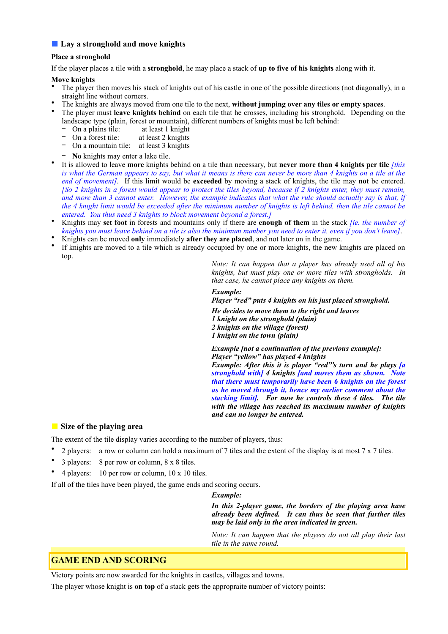## ■ **Lay a stronghold and move knights**

## **Place a stronghold**

If the player places a tile with a **stronghold**, he may place a stack of **up to five of his knights** along with it.

## **Move knights**

- The player then moves his stack of knights out of his castle in one of the possible directions (not diagonally), in a straight line without corners.
- The knights are always moved from one tile to the next, **without jumping over any tiles or empty spaces**.
- The player must **leave knights behind** on each tile that he crosses, including his stronghold. Depending on the landscape type (plain, forest or mountain), different numbers of knights must be left behind:
	- − On a plains tile: at least 1 knight
	- − On a forest tile: at least 2 knights
	- − On a mountain tile: at least 3 knights
	- − **No** knights may enter a lake tile.
- It is allowed to leave **more** knights behind on a tile than necessary, but **never more than 4 knights per tile** *[this is what the German appears to say, but what it means is there can never be more than 4 knights on a tile at the end of movement]*. If this limit would be **exceeded** by moving a stack of knights, the tile may **not** be entered. *[So 2 knights in a forest would appear to protect the tiles beyond, because if 2 knights enter, they must remain,*  and more than 3 cannot enter. However, the example indicates that what the rule should actually say is that, if *the 4 knight limit would be exceeded after the minimum number of knights is left behind, then the tile cannot be entered. You thus need 3 knights to block movement beyond a forest.]*
- Knights may **set foot** in forests and mountains only if there are **enough of them** in the stack *[ie. the number of knights you must leave behind on a tile is also the minimum number you need to enter it, even if you don't leave]*.
- Knights can be moved **only** immediately **after they are placed**, and not later on in the game.
- If knights are moved to a tile which is already occupied by one or more knights, the new knights are placed on top.

*Note: It can happen that a player has already used all of his knights, but must play one or more tiles with strongholds. In that case, he cannot place any knights on them.* 

*Example:* 

*Player "red" puts 4 knights on his just placed stronghold.* 

*He decides to move them to the right and leaves 1 knight on the stronghold (plain) 2 knights on the village (forest) 1 knight on the town (plain)* 

*Example [not a continuation of the previous example]: Player "yellow" has played 4 knights Example: After this it is player "red"'s turn and he plays [a stronghold with] 4 knights [and moves them as shown. Note that there must temporarily have been 6 knights on the forest as he moved through it, hence my earlier comment about the stacking limit]. For now he controls these 4 tiles. The tile with the village has reached its maximum number of knights and can no longer be entered.* 

# ■ Size of the playing area

The extent of the tile display varies according to the number of players, thus:

- 2 players: a row or column can hold a maximum of 7 tiles and the extent of the display is at most 7 x 7 tiles.
- 3 players: 8 per row or column, 8 x 8 tiles.
- 4 players: 10 per row or column, 10 x 10 tiles.

If all of the tiles have been played, the game ends and scoring occurs.

## *Example:*

*In this 2-player game, the borders of the playing area have already been defined. It can thus be seen that further tiles may be laid only in the area indicated in green.* 

*Note: It can happen that the players do not all play their last tile in the same round.* 

# **GAME END AND SCORING**

Victory points are now awarded for the knights in castles, villages and towns.

The player whose knight is **on top** of a stack gets the appropraite number of victory points: